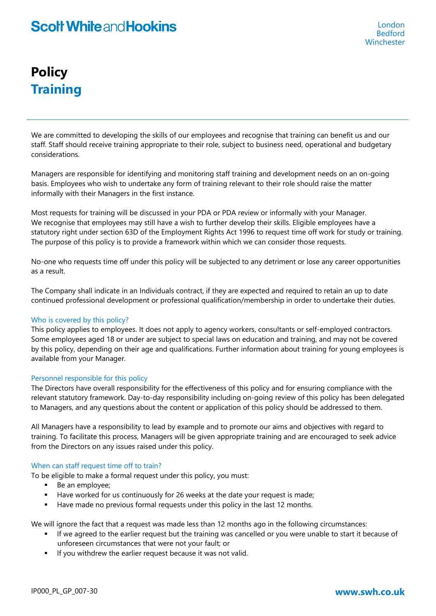# **Policy Training**

We are committed to developing the skills of our employees and recognise that training can benefit us and our staff. Staff should receive training appropriate to their role, subject to business need, operational and budgetary considerations.

Managers are responsible for identifying and monitoring staff training and development needs on an on-going basis. Employees who wish to undertake any form of training relevant to their role should raise the matter informally with their Managers in the first instance.

Most requests for training will be discussed in your PDA or PDA review or informally with your Manager. We recognise that employees may still have a wish to further develop their skills. Eligible employees have a statutory right under section 63D of the Employment Rights Act 1996 to request time off work for study or training. The purpose of this policy is to provide a framework within which we can consider those requests.

No-one who requests time off under this policy will be subjected to any detriment or lose any career opportunities as a result.

The Company shall indicate in an Individuals contract, if they are expected and required to retain an up to date continued professional development or professional qualification/membership in order to undertake their duties.

# Who is covered by this policy?

This policy applies to employees. It does not apply to agency workers, consultants or self-employed contractors. Some employees aged 18 or under are subject to special laws on education and training, and may not be covered by this policy, depending on their age and qualifications. Further information about training for young employees is available from your Manager.

# Personnel responsible for this policy

The Directors have overall responsibility for the effectiveness of this policy and for ensuring compliance with the relevant statutory framework. Day-to-day responsibility including on-going review of this policy has been delegated to Managers, and any questions about the content or application of this policy should be addressed to them.

All Managers have a responsibility to lead by example and to promote our aims and objectives with regard to training. To facilitate this process, Managers will be given appropriate training and are encouraged to seek advice from the Directors on any issues raised under this policy.

# When can staff request time off to train?

To be eligible to make a formal request under this policy, you must:

- Be an employee;
- Have worked for us continuously for 26 weeks at the date your request is made;
- Have made no previous formal requests under this policy in the last 12 months.

We will ignore the fact that a request was made less than 12 months ago in the following circumstances:

- If we agreed to the earlier request but the training was cancelled or you were unable to start it because of unforeseen circumstances that were not your fault; or
- If you withdrew the earlier request because it was not valid.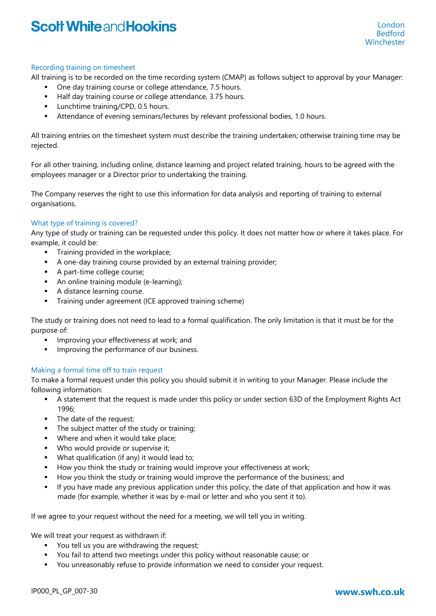# Recording training on timesheet

All training is to be recorded on the time recording system (CMAP) as follows subject to approval by your Manager:

- One day training course or college attendance, 7.5 hours.
- Half day training course or college attendance, 3.75 hours.
- **Lunchtime training/CPD, 0.5 hours.**
- Attendance of evening seminars/lectures by relevant professional bodies, 1.0 hours.

All training entries on the timesheet system must describe the training undertaken; otherwise training time may be rejected.

For all other training, including online, distance learning and project related training, hours to be agreed with the employees manager or a Director prior to undertaking the training.

The Company reserves the right to use this information for data analysis and reporting of training to external organisations.

# What type of training is covered?

Any type of study or training can be requested under this policy. It does not matter how or where it takes place. For example, it could be:

- **Training provided in the workplace;**
- A one-day training course provided by an external training provider;
- A part-time college course;
- An online training module (e-learning);
- **A** distance learning course.
- **Training under agreement (ICE approved training scheme)**

The study or training does not need to lead to a formal qualification. The only limitation is that it must be for the purpose of:

- Improving your effectiveness at work; and
- Improving the performance of our business.

# Making a formal time off to train request

To make a formal request under this policy you should submit it in writing to your Manager. Please include the following information:

- A statement that the request is made under this policy or under section 63D of the Employment Rights Act 1996;
- The date of the request;
- The subject matter of the study or training;
- **Where and when it would take place;**
- Who would provide or supervise it;
- What qualification (if any) it would lead to;
- How you think the study or training would improve your effectiveness at work;
- How you think the study or training would improve the performance of the business; and
- If you have made any previous application under this policy, the date of that application and how it was made (for example, whether it was by e-mail or letter and who you sent it to).

If we agree to your request without the need for a meeting, we will tell you in writing.

We will treat your request as withdrawn if:

- You tell us you are withdrawing the request;
- You fail to attend two meetings under this policy without reasonable cause; or
- You unreasonably refuse to provide information we need to consider your request.

# IP000\_PL\_GP\_007-30 **www.swh.co.uk**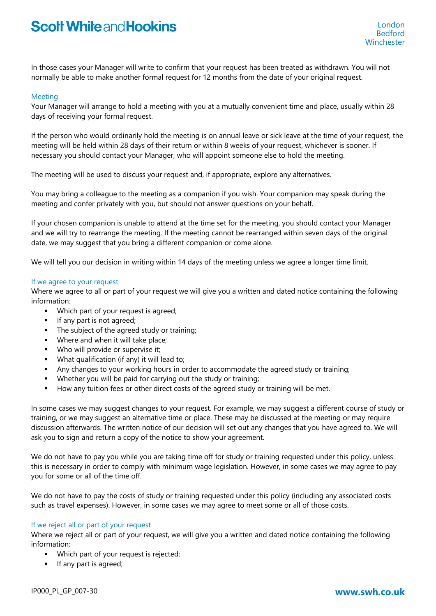In those cases your Manager will write to confirm that your request has been treated as withdrawn. You will not normally be able to make another formal request for 12 months from the date of your original request.

### Meeting

Your Manager will arrange to hold a meeting with you at a mutually convenient time and place, usually within 28 days of receiving your formal request.

If the person who would ordinarily hold the meeting is on annual leave or sick leave at the time of your request, the meeting will be held within 28 days of their return or within 8 weeks of your request, whichever is sooner. If necessary you should contact your Manager, who will appoint someone else to hold the meeting.

The meeting will be used to discuss your request and, if appropriate, explore any alternatives.

You may bring a colleague to the meeting as a companion if you wish. Your companion may speak during the meeting and confer privately with you, but should not answer questions on your behalf.

If your chosen companion is unable to attend at the time set for the meeting, you should contact your Manager and we will try to rearrange the meeting. If the meeting cannot be rearranged within seven days of the original date, we may suggest that you bring a different companion or come alone.

We will tell you our decision in writing within 14 days of the meeting unless we agree a longer time limit.

#### If we agree to your request

Where we agree to all or part of your request we will give you a written and dated notice containing the following information:

- Which part of your request is agreed;
- **If any part is not agreed;**
- The subject of the agreed study or training;
- **Where and when it will take place;**
- Who will provide or supervise it;
- What qualification (if any) it will lead to;
- Any changes to your working hours in order to accommodate the agreed study or training;
- Whether you will be paid for carrying out the study or training;
- How any tuition fees or other direct costs of the agreed study or training will be met.

In some cases we may suggest changes to your request. For example, we may suggest a different course of study or training, or we may suggest an alternative time or place. These may be discussed at the meeting or may require discussion afterwards. The written notice of our decision will set out any changes that you have agreed to. We will ask you to sign and return a copy of the notice to show your agreement.

We do not have to pay you while you are taking time off for study or training requested under this policy, unless this is necessary in order to comply with minimum wage legislation. However, in some cases we may agree to pay you for some or all of the time off.

We do not have to pay the costs of study or training requested under this policy (including any associated costs such as travel expenses). However, in some cases we may agree to meet some or all of those costs.

#### If we reject all or part of your request

Where we reject all or part of your request, we will give you a written and dated notice containing the following information:

- **Which part of your request is rejected;**
- **If any part is agreed;**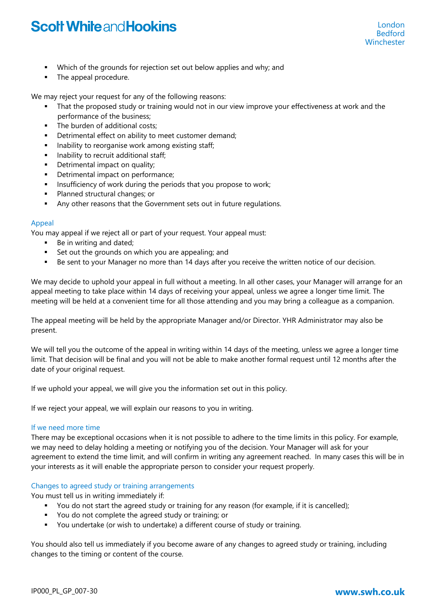- **•** Which of the grounds for rejection set out below applies and why; and
- The appeal procedure.

We may reject your request for any of the following reasons:

- That the proposed study or training would not in our view improve your effectiveness at work and the performance of the business;
- The burden of additional costs;
- Detrimental effect on ability to meet customer demand;
- **Inability to reorganise work among existing staff;**
- **Inability to recruit additional staff;**
- Detrimental impact on quality;
- Detrimental impact on performance;
- **Insufficiency of work during the periods that you propose to work;**
- **Planned structural changes; or**
- Any other reasons that the Government sets out in future regulations.

# Appeal

You may appeal if we reject all or part of your request. Your appeal must:

- Be in writing and dated;
- Set out the grounds on which you are appealing; and
- Be sent to your Manager no more than 14 days after you receive the written notice of our decision.

We may decide to uphold your appeal in full without a meeting. In all other cases, your Manager will arrange for an appeal meeting to take place within 14 days of receiving your appeal, unless we agree a longer time limit. The meeting will be held at a convenient time for all those attending and you may bring a colleague as a companion.

The appeal meeting will be held by the appropriate Manager and/or Director. YHR Administrator may also be present.

We will tell you the outcome of the appeal in writing within 14 days of the meeting, unless we agree a longer time limit. That decision will be final and you will not be able to make another formal request until 12 months after the date of your original request.

If we uphold your appeal, we will give you the information set out in this policy.

If we reject your appeal, we will explain our reasons to you in writing.

# If we need more time

There may be exceptional occasions when it is not possible to adhere to the time limits in this policy. For example, we may need to delay holding a meeting or notifying you of the decision. Your Manager will ask for your agreement to extend the time limit, and will confirm in writing any agreement reached. In many cases this will be in your interests as it will enable the appropriate person to consider your request properly.

# Changes to agreed study or training arrangements

You must tell us in writing immediately if:

- You do not start the agreed study or training for any reason (for example, if it is cancelled);
- You do not complete the agreed study or training; or
- You undertake (or wish to undertake) a different course of study or training.

You should also tell us immediately if you become aware of any changes to agreed study or training, including changes to the timing or content of the course.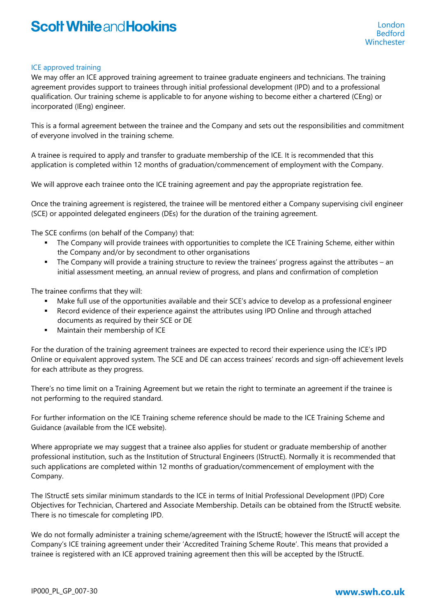### ICE approved training

We may offer an ICE approved training agreement to trainee graduate engineers and technicians. The training agreement provides support to trainees through initial professional development (IPD) and to a professional qualification. Our training scheme is applicable to for anyone wishing to become either a chartered (CEng) or incorporated (IEng) engineer.

This is a formal agreement between the trainee and the Company and sets out the responsibilities and commitment of everyone involved in the training scheme.

A trainee is required to apply and transfer to graduate membership of the ICE. It is recommended that this application is completed within 12 months of graduation/commencement of employment with the Company.

We will approve each trainee onto the ICE training agreement and pay the appropriate registration fee.

Once the training agreement is registered, the trainee will be mentored either a Company supervising civil engineer (SCE) or appointed delegated engineers (DEs) for the duration of the training agreement.

The SCE confirms (on behalf of the Company) that:

- The Company will provide trainees with opportunities to complete the ICE Training Scheme, either within the Company and/or by secondment to other organisations
- The Company will provide a training structure to review the trainees' progress against the attributes an initial assessment meeting, an annual review of progress, and plans and confirmation of completion

The trainee confirms that they will:

- Make full use of the opportunities available and their SCE's advice to develop as a professional engineer
- Record evidence of their experience against the attributes using IPD Online and through attached documents as required by their SCE or DE
- **Maintain their membership of ICE**

For the duration of the training agreement trainees are expected to record their experience using the ICE's IPD Online or equivalent approved system. The SCE and DE can access trainees' records and sign-off achievement levels for each attribute as they progress.

There's no time limit on a Training Agreement but we retain the right to terminate an agreement if the trainee is not performing to the required standard.

For further information on the ICE Training scheme reference should be made to the ICE Training Scheme and Guidance (available from the ICE website).

Where appropriate we may suggest that a trainee also applies for student or graduate membership of another professional institution, such as the Institution of Structural Engineers (IStructE). Normally it is recommended that such applications are completed within 12 months of graduation/commencement of employment with the Company.

The IStructE sets similar minimum standards to the ICE in terms of Initial Professional Development (IPD) Core Objectives for Technician, Chartered and Associate Membership. Details can be obtained from the IStructE website. There is no timescale for completing IPD.

We do not formally administer a training scheme/agreement with the IStructE; however the IStructE will accept the Company's ICE training agreement under their 'Accredited Training Scheme Route'. This means that provided a trainee is registered with an ICE approved training agreement then this will be accepted by the IStructE.